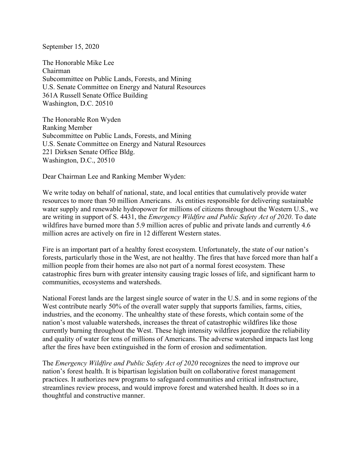September 15, 2020

The Honorable Mike Lee Chairman Subcommittee on Public Lands, Forests, and Mining U.S. Senate Committee on Energy and Natural Resources 361A Russell Senate Office Building Washington, D.C. 20510

The Honorable Ron Wyden Ranking Member Subcommittee on Public Lands, Forests, and Mining U.S. Senate Committee on Energy and Natural Resources 221 Dirksen Senate Office Bldg. Washington, D.C., 20510

Dear Chairman Lee and Ranking Member Wyden:

We write today on behalf of national, state, and local entities that cumulatively provide water resources to more than 50 million Americans. As entities responsible for delivering sustainable water supply and renewable hydropower for millions of citizens throughout the Western U.S., we are writing in support of S. 4431, the *Emergency Wildfire and Public Safety Act of 2020*. To date wildfires have burned more than 5.9 million acres of public and private lands and currently 4.6 million acres are actively on fire in 12 different Western states.

Fire is an important part of a healthy forest ecosystem. Unfortunately, the state of our nation's forests, particularly those in the West, are not healthy. The fires that have forced more than half a million people from their homes are also not part of a normal forest ecosystem. These catastrophic fires burn with greater intensity causing tragic losses of life, and significant harm to communities, ecosystems and watersheds.

National Forest lands are the largest single source of water in the U.S. and in some regions of the West contribute nearly 50% of the overall water supply that supports families, farms, cities, industries, and the economy. The unhealthy state of these forests, which contain some of the nation's most valuable watersheds, increases the threat of catastrophic wildfires like those currently burning throughout the West. These high intensity wildfires jeopardize the reliability and quality of water for tens of millions of Americans. The adverse watershed impacts last long after the fires have been extinguished in the form of erosion and sedimentation.

The *Emergency Wildfire and Public Safety Act of 2020* recognizes the need to improve our nation's forest health. It is bipartisan legislation built on collaborative forest management practices. It authorizes new programs to safeguard communities and critical infrastructure, streamlines review process, and would improve forest and watershed health. It does so in a thoughtful and constructive manner.